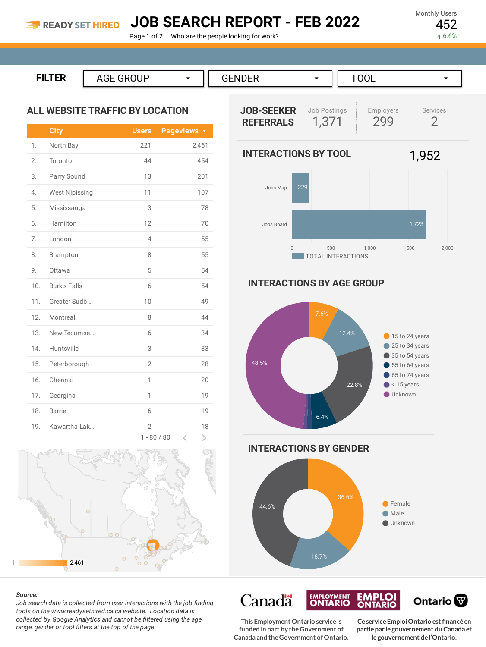## **JOB SEARCH REPORT - FEB 2022**

Page 1 of 2 | Who are the people looking for work?

Monthly Users 452

6.6%

```
FILTER AGE GROUP ▼
      GENDER →
                   TOOL ▼
```
#### **ALL WEBSITE TRAFFIC BY LOCATION**

|                  | <b>City</b>           | <b>Users</b>                    | Pageviews <b>v</b> |
|------------------|-----------------------|---------------------------------|--------------------|
| 1.               | North Bay             | 221                             | 2,461              |
| 2.               | Toronto               | 44                              | 454                |
| 3.               | Parry Sound           | 13                              | 201                |
| $\overline{4}$ . | <b>West Nipissing</b> | 11                              | 107                |
| 5.               | Mississauga           | 3                               | 78                 |
| 6.               | Hamilton              | 12                              | 70                 |
| 7.               | London                | 4                               | 55                 |
| 8.               | Brampton              | 8                               | 55                 |
| 9.               | Ottawa                | 5                               | 54                 |
| 10.              | <b>Burk's Falls</b>   | 6                               | 54                 |
| 11.              | Greater Sudb          | 10                              | 49                 |
| 12.              | Montreal              | 8                               | 44                 |
| 13.              | New Tecumse           | 6                               | 34                 |
| 14.              | Huntsville            | 3                               | 33                 |
| 15.              | Peterborough          | $\overline{2}$                  | 28                 |
| 16.              | Chennai               | 1                               | 20                 |
| 17.              | Georgina              | 1                               | 19                 |
| 18.              | <b>Barrie</b>         | 6                               | 19                 |
| 19.              | Kawartha Lak          | $\overline{2}$<br>$1 - 80 / 80$ | 18<br>K<br>⋗       |



#### *Source:*

*Job search data is collected from user interactions with the job finding tools on the www.readysethired.ca.ca website. Location data is collected by Google Analytics and cannot be filtered using the age range, gender or tool filters at the top of the page.*



**INTERACTIONS BY AGE GROUP**



**EMPLOYMENT** 

**This Employment Ontario serviceis funded in part by theGovernment of Canada and theGovernment ofOntario.**

**Canadä** 

**CeserviceEmploiOntario est financéen partiepar legouvernement du Canada et legouvernement del'Ontario.**

Ontario<sup>®</sup>

**EMPLOI**<br>ONTARIO